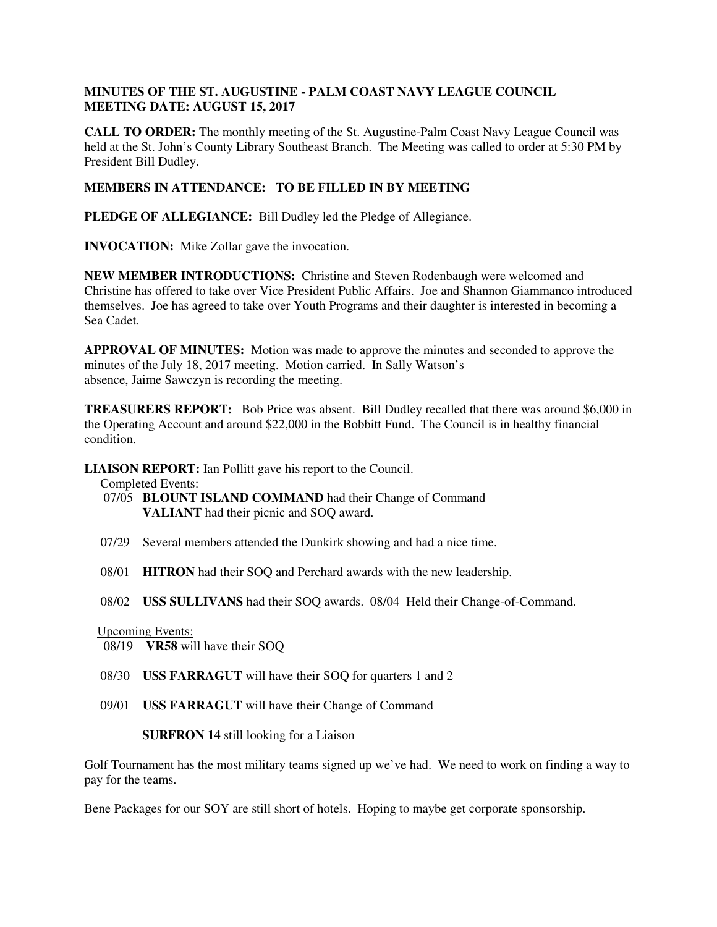## **MINUTES OF THE ST. AUGUSTINE - PALM COAST NAVY LEAGUE COUNCIL MEETING DATE: AUGUST 15, 2017**

**CALL TO ORDER:** The monthly meeting of the St. Augustine-Palm Coast Navy League Council was held at the St. John's County Library Southeast Branch. The Meeting was called to order at 5:30 PM by President Bill Dudley.

## **MEMBERS IN ATTENDANCE: TO BE FILLED IN BY MEETING**

**PLEDGE OF ALLEGIANCE:** Bill Dudley led the Pledge of Allegiance.

**INVOCATION:** Mike Zollar gave the invocation.

**NEW MEMBER INTRODUCTIONS:** Christine and Steven Rodenbaugh were welcomed and Christine has offered to take over Vice President Public Affairs. Joe and Shannon Giammanco introduced themselves. Joe has agreed to take over Youth Programs and their daughter is interested in becoming a Sea Cadet.

**APPROVAL OF MINUTES:** Motion was made to approve the minutes and seconded to approve the minutes of the July 18, 2017 meeting. Motion carried. In Sally Watson's absence, Jaime Sawczyn is recording the meeting.

**TREASURERS REPORT:** Bob Price was absent. Bill Dudley recalled that there was around \$6,000 in the Operating Account and around \$22,000 in the Bobbitt Fund. The Council is in healthy financial condition.

**LIAISON REPORT:** Ian Pollitt gave his report to the Council.

Completed Events:

- 07/05 **BLOUNT ISLAND COMMAND** had their Change of Command **VALIANT** had their picnic and SOQ award.
- 07/29 Several members attended the Dunkirk showing and had a nice time.
- 08/01 **HITRON** had their SOQ and Perchard awards with the new leadership.
- 08/02 **USS SULLIVANS** had their SOQ awards. 08/04 Held their Change-of-Command.

## Upcoming Events:

08/19 **VR58** will have their SOQ

- 08/30 **USS FARRAGUT** will have their SOQ for quarters 1 and 2
- 09/01 **USS FARRAGUT** will have their Change of Command

 **SURFRON 14** still looking for a Liaison

Golf Tournament has the most military teams signed up we've had. We need to work on finding a way to pay for the teams.

Bene Packages for our SOY are still short of hotels. Hoping to maybe get corporate sponsorship.